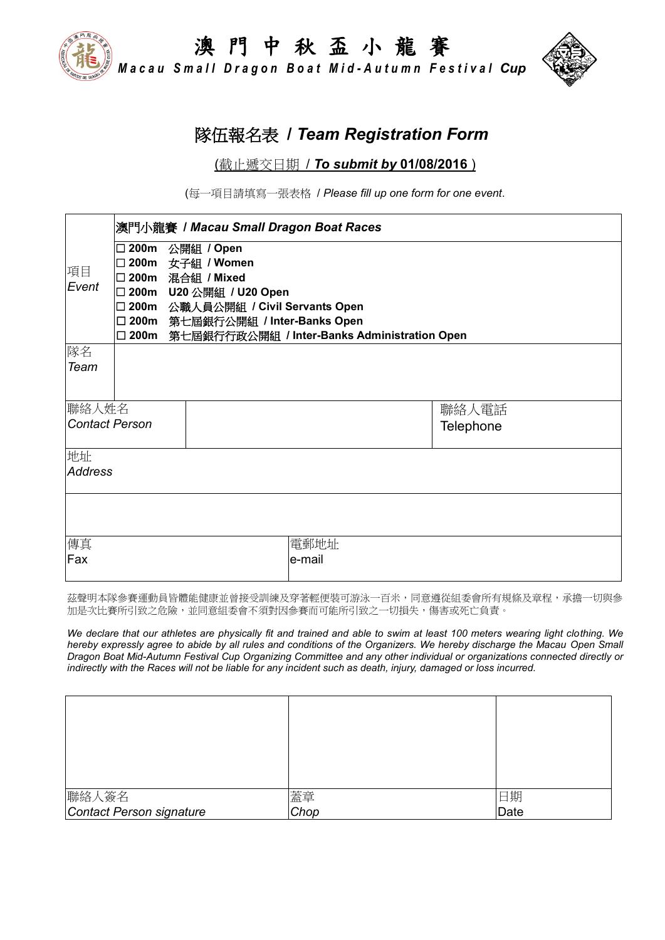澳 門 中 秋 盃 小 龍 賽 *M a c a u S m a l l D r a g o n B o a t M i d - A u t u m n F e s t i v a l Cup*

## 隊伍報名表 **/** *Team Registration Form*

#### (截止遞交日期 / *To submit by* **01/08/2016** )

(每一項目請填寫一張表格 / *Please fill up one form for one event*.

|                       | 澳門小龍賽 / Macau Small Dragon Boat Races |                                          |                                                     |           |  |  |  |
|-----------------------|---------------------------------------|------------------------------------------|-----------------------------------------------------|-----------|--|--|--|
| 項目                    |                                       | □ 200m 公開組 / Open                        |                                                     |           |  |  |  |
|                       |                                       | □ 200m 女子組 / Women<br>□ 200m 混合組 / Mixed |                                                     |           |  |  |  |
| Event                 |                                       | □ 200m U20 公開組 / U20 Open                |                                                     |           |  |  |  |
|                       |                                       |                                          | □ 200m 公職人員公開組 / Civil Servants Open                |           |  |  |  |
|                       |                                       | □ 200m 第七屆銀行公開組 / Inter-Banks Open       |                                                     |           |  |  |  |
|                       |                                       |                                          | □ 200m 第七屆銀行行政公開組 / Inter-Banks Administration Open |           |  |  |  |
| 隊名                    |                                       |                                          |                                                     |           |  |  |  |
| Team                  |                                       |                                          |                                                     |           |  |  |  |
|                       |                                       |                                          |                                                     |           |  |  |  |
|                       | 聯絡人姓名                                 |                                          |                                                     | 聯絡人電話     |  |  |  |
| <b>Contact Person</b> |                                       |                                          |                                                     | Telephone |  |  |  |
|                       |                                       |                                          |                                                     |           |  |  |  |
| 地址                    |                                       |                                          |                                                     |           |  |  |  |
| <b>Address</b>        |                                       |                                          |                                                     |           |  |  |  |
|                       |                                       |                                          |                                                     |           |  |  |  |
|                       |                                       |                                          |                                                     |           |  |  |  |
|                       |                                       |                                          |                                                     |           |  |  |  |
| 傳真                    | 電郵地址                                  |                                          |                                                     |           |  |  |  |
| Fax                   | le-mail                               |                                          |                                                     |           |  |  |  |
|                       |                                       |                                          |                                                     |           |  |  |  |

茲聲明本隊參賽運動員皆體能健康並曾接受訓練及穿著輕便裝可游泳一百米,同意遵從組委會所有規條及章程,承擔一切與參 加是次比賽所引致之危險,並同意組委會不須對因參賽而可能所引致之一切損失,傷害或死亡負責。

*We declare that our athletes are physically fit and trained and able to swim at least 100 meters wearing light clothing. We hereby expressly agree to abide by all rules and conditions of the Organizers. We hereby discharge the Macau Open Small Dragon Boat Mid-Autumn Festival Cup Organizing Committee and any other individual or organizations connected directly or indirectly with the Races will not be liable for any incident such as death, injury, damaged or loss incurred.*

| 聯絡人簽名                    | 蓋章<br>Chop | 日期   |
|--------------------------|------------|------|
| Contact Person signature |            | Date |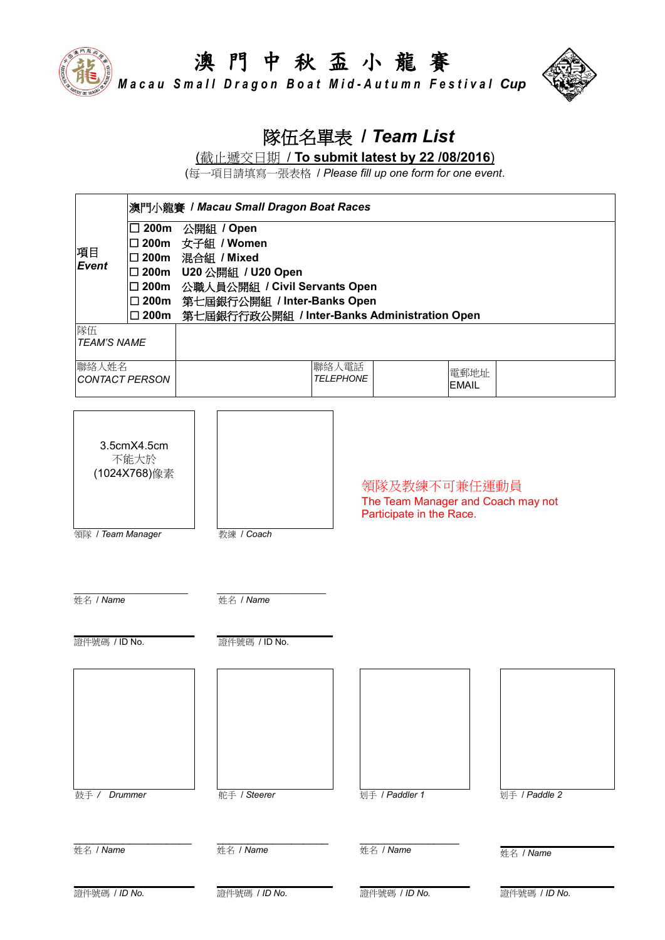

*M a c a u S m a l l D r a g o n B o a t M i d - A u t u m n F e s t i v a l Cup*



# 隊伍名單表 **/** *Team List*

(截止遞交日期 / **To submit latest by 22 /08/2016**)

(每一項目請填寫一張表格 / *Please fill up one form for one event*.

| 澳門小龍賽 / Macau Small Dragon Boat Races |                                                                |                                                                                                                                                                                              |                           |                                                                                |               |  |
|---------------------------------------|----------------------------------------------------------------|----------------------------------------------------------------------------------------------------------------------------------------------------------------------------------------------|---------------------------|--------------------------------------------------------------------------------|---------------|--|
| 項目<br><b>Event</b>                    | $\square$ 200m<br>□ 200m<br>□ 200m<br>$\square$ 200m<br>□ 200m | 公開組 / Open<br>女子組 / Women<br>混合組 / Mixed<br>□ 200m U20 公開組 / U20 Open<br>□ 200m 公職人員公開組 / Civil Servants Open<br>第七屆銀行公開組 / Inter-Banks Open<br>第七屆銀行行政公開組 / Inter-Banks Administration Open |                           |                                                                                |               |  |
| 隊伍<br><b>TEAM'S NAME</b>              |                                                                |                                                                                                                                                                                              |                           |                                                                                |               |  |
| 聯絡人姓名                                 | <b>CONTACT PERSON</b>                                          |                                                                                                                                                                                              | 聯絡人電話<br><b>TELEPHONE</b> | 電郵地址<br><b>EMAIL</b>                                                           |               |  |
| 領隊 / Team Manager                     | 3.5cmX4.5cm<br>不能大於<br>(1024X768)像素                            | 教練 / Coach                                                                                                                                                                                   |                           | 領隊及教練不可兼任運動員<br>The Team Manager and Coach may not<br>Participate in the Race. |               |  |
| 姓名 / Name                             |                                                                | 姓名 / Name                                                                                                                                                                                    |                           |                                                                                |               |  |
| 證件號碼 / ID No.                         |                                                                | 證件號碼 / ID No.                                                                                                                                                                                |                           |                                                                                |               |  |
| 鼓手/                                   | Drummer                                                        | 舵手 / Steerer                                                                                                                                                                                 |                           | 划手 / Paddler 1                                                                 | 划手 / Paddle 2 |  |
| 姓名 / Name                             |                                                                | 姓名 / Name                                                                                                                                                                                    |                           | 姓名 / Name                                                                      | 姓名 / Name     |  |
| 證件號碼 / ID No.                         |                                                                | 證件號碼 / ID No.                                                                                                                                                                                |                           | 證件號碼 / ID No.                                                                  | 證件號碼 / ID No. |  |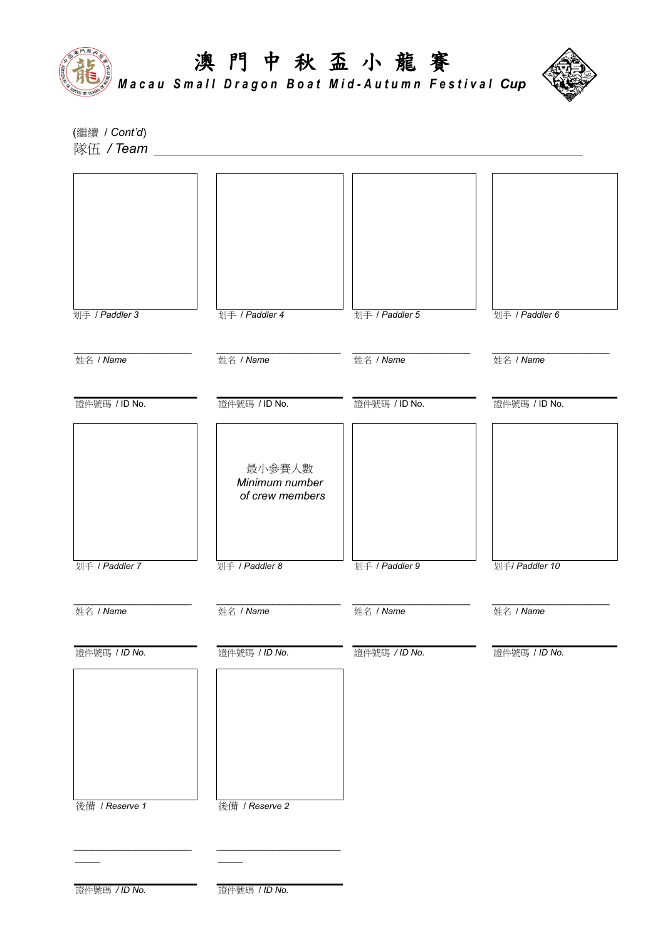



*M a c a u S m a l l D r a g o n B o a t M i d - A u t u m n F e s t i v a l Cup*

(繼續 / *Cont'd*) 隊伍 / Team \_



證件號碼 */ ID No.* 證件號碼 / *ID No.*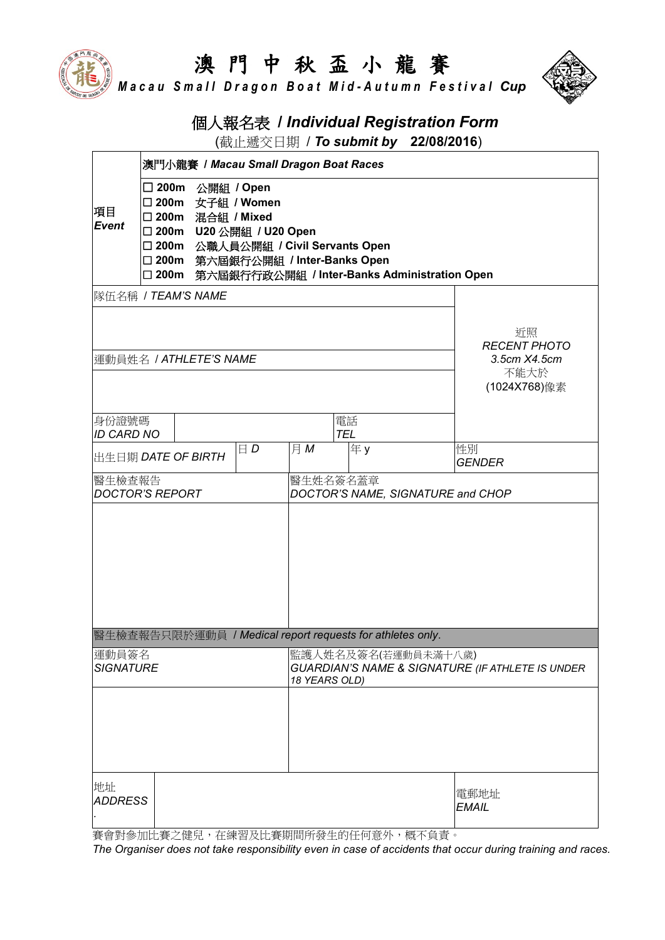*M a c a u S m a l l D r a g o n B o a t M i d - A u t u m n F e s t i v a l Cup*



## 個人報名表 **/** *Individual Registration Form*

(截止遞交日期 / *To submit by* **22/08/2016**)

|                                  | 澳門小龍賽 / Macau Small Dragon Boat Races                                                                                                                                                                                                       |                        |                                                                                                      |     |                  |                                                           |                                           |
|----------------------------------|---------------------------------------------------------------------------------------------------------------------------------------------------------------------------------------------------------------------------------------------|------------------------|------------------------------------------------------------------------------------------------------|-----|------------------|-----------------------------------------------------------|-------------------------------------------|
| 項目<br><b>Event</b>               | □ 200m 公開組 / Open<br>□ 200m 女子組 / Women<br>□ 200m<br>混合組 / Mixed<br>□ 200m<br>U20 公開組 / U20 Open<br>□ 200m<br>公職人員公開組 / Civil Servants Open<br>□ 200m 第六屆銀行公開組 / Inter-Banks Open<br>第六屆銀行行政公開組 / Inter-Banks Administration Open<br>□ 200m |                        |                                                                                                      |     |                  |                                                           |                                           |
|                                  |                                                                                                                                                                                                                                             | 隊伍名稱 / TEAM'S NAME     |                                                                                                      |     |                  |                                                           |                                           |
|                                  |                                                                                                                                                                                                                                             | 運動員姓名 / ATHLETE'S NAME |                                                                                                      |     |                  |                                                           | 近照<br><b>RECENT PHOTO</b><br>3.5cm X4.5cm |
|                                  |                                                                                                                                                                                                                                             |                        |                                                                                                      |     |                  |                                                           | 不能大於<br>(1024X768)像素                      |
| 身份證號碼<br><b>ID CARD NO</b>       |                                                                                                                                                                                                                                             |                        |                                                                                                      |     | 電話<br><b>TEL</b> |                                                           |                                           |
|                                  |                                                                                                                                                                                                                                             | 出生日期 DATE OF BIRTH     | $\Box D$                                                                                             | 月 M | 年y               |                                                           | 性別<br><b>GENDER</b>                       |
| 醫生檢查報告<br><b>DOCTOR'S REPORT</b> |                                                                                                                                                                                                                                             |                        | 醫生姓名簽名蓋章<br>DOCTOR'S NAME, SIGNATURE and CHOP                                                        |     |                  |                                                           |                                           |
|                                  |                                                                                                                                                                                                                                             |                        |                                                                                                      |     |                  |                                                           |                                           |
|                                  |                                                                                                                                                                                                                                             |                        |                                                                                                      |     |                  | 醫生檢查報告只限於運動員 / Medical report requests for athletes only. |                                           |
| 運動員簽名<br><b>SIGNATURE</b>        |                                                                                                                                                                                                                                             |                        | 監護人姓名及簽名(若運動員未滿十八歲) <br><b>GUARDIAN'S NAME &amp; SIGNATURE (IF ATHLETE IS UNDER</b><br>18 YEARS OLD) |     |                  |                                                           |                                           |
|                                  |                                                                                                                                                                                                                                             |                        |                                                                                                      |     |                  |                                                           |                                           |
| 地址<br><b>ADDRESS</b>             |                                                                                                                                                                                                                                             |                        |                                                                                                      |     |                  |                                                           | 電郵地址<br><b>EMAIL</b>                      |

賽會對參加比賽之健兒,在練習及比賽期間所發生的任何意外,概不負責。

*The Organiser does not take responsibility even in case of accidents that occur during training and races.*